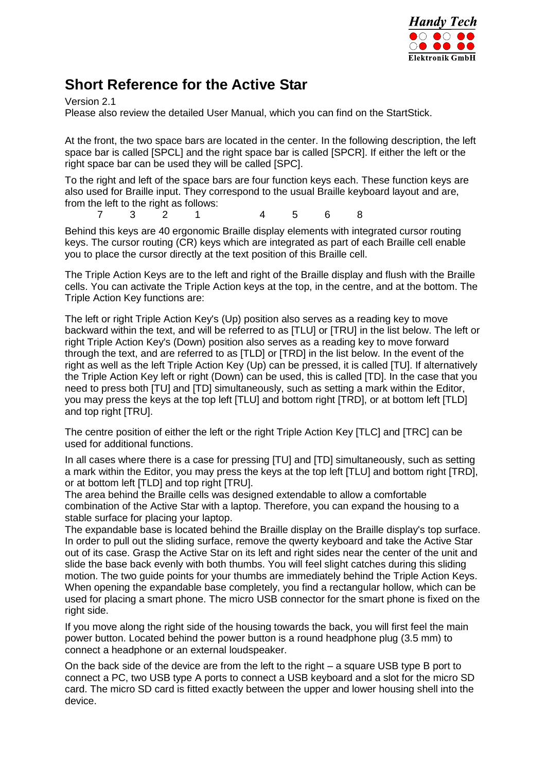

## **Short Reference for the Active Star**

Version 2.1

Please also review the detailed User Manual, which you can find on the StartStick.

At the front, the two space bars are located in the center. In the following description, the left space bar is called [SPCL] and the right space bar is called [SPCR]. If either the left or the right space bar can be used they will be called [SPC].

To the right and left of the space bars are four function keys each. These function keys are also used for Braille input. They correspond to the usual Braille keyboard layout and are, from the left to the right as follows:

7 3 2 1 4 5 6 8

Behind this keys are 40 ergonomic Braille display elements with integrated cursor routing keys. The cursor routing (CR) keys which are integrated as part of each Braille cell enable you to place the cursor directly at the text position of this Braille cell.

The Triple Action Keys are to the left and right of the Braille display and flush with the Braille cells. You can activate the Triple Action keys at the top, in the centre, and at the bottom. The Triple Action Key functions are:

The left or right Triple Action Key's (Up) position also serves as a reading key to move backward within the text, and will be referred to as [TLU] or [TRU] in the list below. The left or right Triple Action Key's (Down) position also serves as a reading key to move forward through the text, and are referred to as [TLD] or [TRD] in the list below. In the event of the right as well as the left Triple Action Key (Up) can be pressed, it is called [TU]. If alternatively the Triple Action Key left or right (Down) can be used, this is called [TD]. In the case that you need to press both [TU] and [TD] simultaneously, such as setting a mark within the Editor, you may press the keys at the top left [TLU] and bottom right [TRD], or at bottom left [TLD] and top right [TRU].

The centre position of either the left or the right Triple Action Key [TLC] and [TRC] can be used for additional functions.

In all cases where there is a case for pressing [TU] and [TD] simultaneously, such as setting a mark within the Editor, you may press the keys at the top left [TLU] and bottom right [TRD], or at bottom left [TLD] and top right [TRU].

The area behind the Braille cells was designed extendable to allow a comfortable combination of the Active Star with a laptop. Therefore, you can expand the housing to a stable surface for placing your laptop.

The expandable base is located behind the Braille display on the Braille display's top surface. In order to pull out the sliding surface, remove the qwerty keyboard and take the Active Star out of its case. Grasp the Active Star on its left and right sides near the center of the unit and slide the base back evenly with both thumbs. You will feel slight catches during this sliding motion. The two guide points for your thumbs are immediately behind the Triple Action Keys. When opening the expandable base completely, you find a rectangular hollow, which can be used for placing a smart phone. The micro USB connector for the smart phone is fixed on the right side.

If you move along the right side of the housing towards the back, you will first feel the main power button. Located behind the power button is a round headphone plug (3.5 mm) to connect a headphone or an external loudspeaker.

On the back side of the device are from the left to the right – a square USB type B port to connect a PC, two USB type A ports to connect a USB keyboard and a slot for the micro SD card. The micro SD card is fitted exactly between the upper and lower housing shell into the device.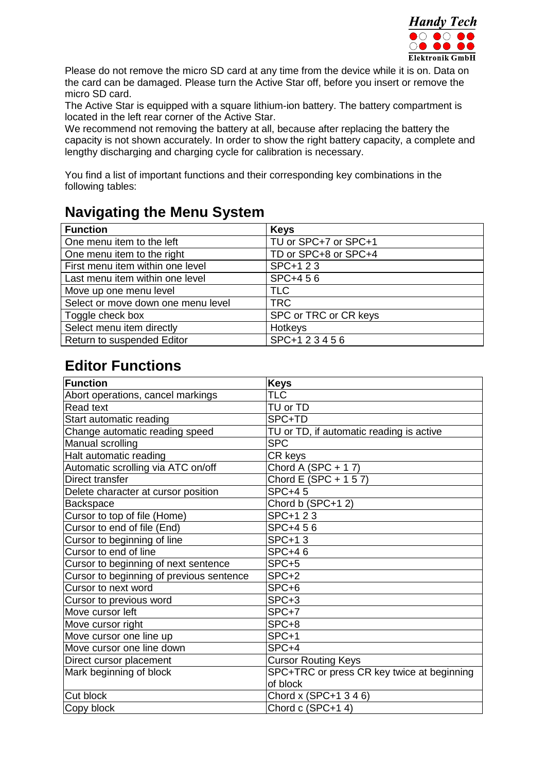

Please do not remove the micro SD card at any time from the device while it is on. Data on the card can be damaged. Please turn the Active Star off, before you insert or remove the micro SD card.

The Active Star is equipped with a square lithium-ion battery. The battery compartment is located in the left rear corner of the Active Star.

We recommend not removing the battery at all, because after replacing the battery the capacity is not shown accurately. In order to show the right battery capacity, a complete and lengthy discharging and charging cycle for calibration is necessary.

You find a list of important functions and their corresponding key combinations in the following tables:

## **Navigating the Menu System**

| <b>Function</b>                    | <b>Keys</b>           |
|------------------------------------|-----------------------|
| One menu item to the left          | TU or SPC+7 or SPC+1  |
| One menu item to the right         | TD or SPC+8 or SPC+4  |
| First menu item within one level   | SPC+1 2 3             |
| Last menu item within one level    | SPC+456               |
| Move up one menu level             | <b>TLC</b>            |
| Select or move down one menu level | <b>TRC</b>            |
| Toggle check box                   | SPC or TRC or CR keys |
| Select menu item directly          | Hotkeys               |
| Return to suspended Editor         | SPC+123456            |

## **Editor Functions**

| <b>Function</b>                          | <b>Keys</b>                                |
|------------------------------------------|--------------------------------------------|
| Abort operations, cancel markings        | <b>TLC</b>                                 |
| <b>Read text</b>                         | TU or TD                                   |
| Start automatic reading                  | SPC+TD                                     |
| Change automatic reading speed           | TU or TD, if automatic reading is active   |
| Manual scrolling                         | <b>SPC</b>                                 |
| Halt automatic reading                   | CR keys                                    |
| Automatic scrolling via ATC on/off       | Chord A $(SPC + 17)$                       |
| Direct transfer                          | Chord E (SPC + 1 5 7)                      |
| Delete character at cursor position      | <b>SPC+45</b>                              |
| <b>Backspace</b>                         | Chord b (SPC+12)                           |
| Cursor to top of file (Home)             | SPC+1 2 3                                  |
| Cursor to end of file (End)              | SPC+456                                    |
| Cursor to beginning of line              | <b>SPC+13</b>                              |
| Cursor to end of line                    | <b>SPC+46</b>                              |
| Cursor to beginning of next sentence     | SPC+5                                      |
| Cursor to beginning of previous sentence | SPC+2                                      |
| Cursor to next word                      | SPC+6                                      |
| Cursor to previous word                  | SPC+3                                      |
| Move cursor left                         | SPC+7                                      |
| Move cursor right                        | SPC+8                                      |
| Move cursor one line up                  | SPC+1                                      |
| Move cursor one line down                | SPC+4                                      |
| Direct cursor placement                  | <b>Cursor Routing Keys</b>                 |
| Mark beginning of block                  | SPC+TRC or press CR key twice at beginning |
|                                          | of block                                   |
| Cut block                                | Chord x (SPC+1 3 4 6)                      |
| Copy block                               | Chord c (SPC+14)                           |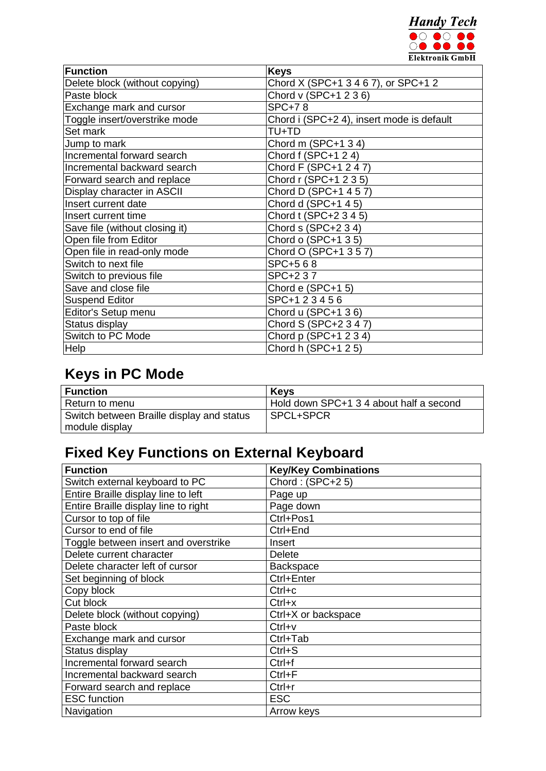

| Function                       | <b>Keys</b>                               |
|--------------------------------|-------------------------------------------|
| Delete block (without copying) | Chord X (SPC+1 3 4 6 7), or SPC+1 2       |
| Paste block                    | Chord v (SPC+1 2 3 6)                     |
| Exchange mark and cursor       | <b>SPC+78</b>                             |
| Toggle insert/overstrike mode  | Chord i (SPC+2 4), insert mode is default |
| Set mark                       | TU+TD                                     |
| Jump to mark                   | Chord m $(SPC+1 3 4)$                     |
| Incremental forward search     | Chord f (SPC+1 2 4)                       |
| Incremental backward search    | Chord F (SPC+1 2 4 7)                     |
| Forward search and replace     | Chord r (SPC+1 2 3 5)                     |
| Display character in ASCII     | Chord D (SPC+1 4 5 7)                     |
| Insert current date            | Chord d (SPC+1 4 5)                       |
| Insert current time            | Chord t (SPC+2 3 4 5)                     |
| Save file (without closing it) | Chord s (SPC+2 3 4)                       |
| Open file from Editor          | Chord o (SPC+1 3 5)                       |
| Open file in read-only mode    | Chord O (SPC+1 3 5 7)                     |
| Switch to next file            | SPC+568                                   |
| Switch to previous file        | SPC+237                                   |
| Save and close file            | Chord e (SPC+1 5)                         |
| <b>Suspend Editor</b>          | SPC+123456                                |
| Editor's Setup menu            | Chord u (SPC+1 36)                        |
| Status display                 | Chord S (SPC+2 3 4 7)                     |
| Switch to PC Mode              | Chord p (SPC+1 2 3 4)                     |
| <b>Help</b>                    | Chord h (SPC+1 2 5)                       |

# **Keys in PC Mode**

| <b>Function</b>                           | Kevs                                    |
|-------------------------------------------|-----------------------------------------|
| Return to menu                            | Hold down SPC+1 3 4 about half a second |
| Switch between Braille display and status | SPCL+SPCR                               |
| module display                            |                                         |

# **Fixed Key Functions on External Keyboard**

| <b>Function</b>                      | <b>Key/Key Combinations</b> |
|--------------------------------------|-----------------------------|
| Switch external keyboard to PC       | Chord: (SPC+25)             |
| Entire Braille display line to left  | Page up                     |
| Entire Braille display line to right | Page down                   |
| Cursor to top of file                | Ctrl+Pos1                   |
| Cursor to end of file                | Ctrl+End                    |
| Toggle between insert and overstrike | Insert                      |
| Delete current character             | <b>Delete</b>               |
| Delete character left of cursor      | <b>Backspace</b>            |
| Set beginning of block               | Ctrl+Enter                  |
| Copy block                           | $Ctrl + c$                  |
| Cut block                            | $Ctrl+x$                    |
| Delete block (without copying)       | Ctrl+X or backspace         |
| Paste block                          | $Ctrl+v$                    |
| Exchange mark and cursor             | Ctrl+Tab                    |
| Status display                       | $Ctrl + S$                  |
| Incremental forward search           | Ctrl+f                      |
| Incremental backward search          | $Ctrl + F$                  |
| Forward search and replace           | $Ctrl+r$                    |
| <b>ESC</b> function                  | <b>ESC</b>                  |
| Navigation                           | Arrow keys                  |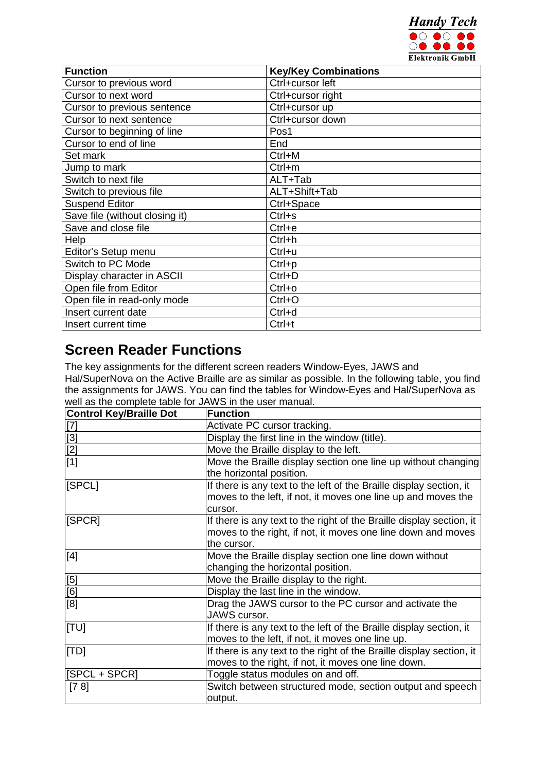

| <b>Function</b>                | <b>Key/Key Combinations</b> |
|--------------------------------|-----------------------------|
| Cursor to previous word        | Ctrl+cursor left            |
| Cursor to next word            | Ctrl+cursor right           |
| Cursor to previous sentence    | Ctrl+cursor up              |
| Cursor to next sentence        | Ctrl+cursor down            |
| Cursor to beginning of line    | Pos1                        |
| Cursor to end of line          | End                         |
| Set mark                       | $Ctrl+M$                    |
| Jump to mark                   | $Ctrl+m$                    |
| Switch to next file            | ALT+Tab                     |
| Switch to previous file        | ALT+Shift+Tab               |
| <b>Suspend Editor</b>          | Ctrl+Space                  |
| Save file (without closing it) | $Ctrl + s$                  |
| Save and close file            | $Ctrl + e$                  |
| Help                           | $Ctrl + h$                  |
| Editor's Setup menu            | Ctrl+u                      |
| Switch to PC Mode              | $Ctrl + p$                  |
| Display character in ASCII     | $Ctrl + D$                  |
| Open file from Editor          | $Ctrl+o$                    |
| Open file in read-only mode    | $Ctrl + O$                  |
| Insert current date            | Ctrl+d                      |
| Insert current time            | Ctrl+t                      |

## **Screen Reader Functions**

The key assignments for the different screen readers Window-Eyes, JAWS and Hal/SuperNova on the Active Braille are as similar as possible. In the following table, you find the assignments for JAWS. You can find the tables for Window-Eyes and Hal/SuperNova as well as the complete table for JAWS in the user manual.

| <b>Control Key/Braille Dot</b>          | <b>Function</b>                                                                                                                                     |
|-----------------------------------------|-----------------------------------------------------------------------------------------------------------------------------------------------------|
|                                         | Activate PC cursor tracking.                                                                                                                        |
|                                         | Display the first line in the window (title).                                                                                                       |
| $\frac{[7]}{[3]}$<br>$\frac{[2]}{[1]}$  | Move the Braille display to the left.                                                                                                               |
|                                         | Move the Braille display section one line up without changing<br>the horizontal position.                                                           |
| [SPCL]                                  | If there is any text to the left of the Braille display section, it<br>moves to the left, if not, it moves one line up and moves the<br>cursor.     |
| [SPCR]                                  | If there is any text to the right of the Braille display section, it<br>moves to the right, if not, it moves one line down and moves<br>the cursor. |
| $[4]$                                   | Move the Braille display section one line down without<br>changing the horizontal position.                                                         |
|                                         | Move the Braille display to the right.                                                                                                              |
| $\frac{\overline{[5]}}{\overline{[6]}}$ | Display the last line in the window.                                                                                                                |
| [8]                                     | Drag the JAWS cursor to the PC cursor and activate the<br>JAWS cursor.                                                                              |
| [TU]                                    | If there is any text to the left of the Braille display section, it<br>moves to the left, if not, it moves one line up.                             |
| [TD]                                    | If there is any text to the right of the Braille display section, it<br>moves to the right, if not, it moves one line down.                         |
| [SPCL + SPCR]                           | Toggle status modules on and off.                                                                                                                   |
| [78]                                    | Switch between structured mode, section output and speech<br>output.                                                                                |